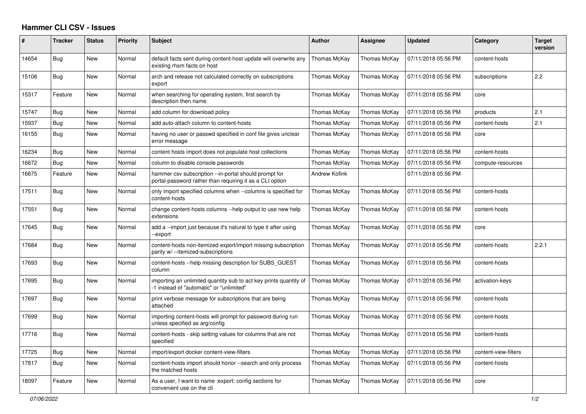## **Hammer CLI CSV - Issues**

| ∦     | <b>Tracker</b> | <b>Status</b> | <b>Priority</b> | <b>Subject</b>                                                                                                    | <b>Author</b> | <b>Assignee</b> | <b>Updated</b>      | Category             | <b>Target</b><br>version |
|-------|----------------|---------------|-----------------|-------------------------------------------------------------------------------------------------------------------|---------------|-----------------|---------------------|----------------------|--------------------------|
| 14654 | Bug            | <b>New</b>    | Normal          | default facts sent during content-host update will overwrite any<br>existing rhsm facts on host                   | Thomas McKay  | Thomas McKay    | 07/11/2018 05:56 PM | content-hosts        |                          |
| 15106 | <b>Bug</b>     | <b>New</b>    | Normal          | arch and release not calculated correctly on subscriptions<br>export                                              | Thomas McKay  | Thomas McKay    | 07/11/2018 05:56 PM | subscriptions        | 2.2                      |
| 15317 | Feature        | <b>New</b>    | Normal          | when searching for operating system, first search by<br>description then name                                     | Thomas McKay  | Thomas McKay    | 07/11/2018 05:56 PM | core                 |                          |
| 15747 | Bug            | New           | Normal          | add column for download policy                                                                                    | Thomas McKay  | Thomas McKay    | 07/11/2018 05:56 PM | products             | 2.1                      |
| 15937 | Bug            | <b>New</b>    | Normal          | add auto-attach column to content-hosts                                                                           | Thomas McKay  | Thomas McKay    | 07/11/2018 05:56 PM | content-hosts        | 2.1                      |
| 16155 | Bug            | <b>New</b>    | Normal          | having no user or passwd specified in conf file gives unclear<br>error message                                    | Thomas McKay  | Thomas McKay    | 07/11/2018 05:56 PM | core                 |                          |
| 16234 | Bug            | New           | Normal          | content hosts import does not populate host collections                                                           | Thomas McKay  | Thomas McKay    | 07/11/2018 05:56 PM | content-hosts        |                          |
| 16672 | Bug            | <b>New</b>    | Normal          | column to disable console passwords                                                                               | Thomas McKay  | Thomas McKay    | 07/11/2018 05:56 PM | compute-resources    |                          |
| 16675 | Feature        | New           | Normal          | hammer csv subscription --in-portal should prompt for<br>portal-password rather than requiring it as a CLI option | Andrew Kofink |                 | 07/11/2018 05:56 PM |                      |                          |
| 17511 | Bug            | New           | Normal          | only import specified columns when --columns is specified for<br>content-hosts                                    | Thomas McKay  | Thomas McKay    | 07/11/2018 05:56 PM | content-hosts        |                          |
| 17551 | <b>Bug</b>     | New           | Normal          | change content-hosts columns --help output to use new help<br>extensions                                          | Thomas McKay  | Thomas McKay    | 07/11/2018 05:56 PM | content-hosts        |                          |
| 17645 | Bug            | New           | Normal          | add a --import just because it's natural to type it after using<br>-export                                        | Thomas McKay  | Thomas McKay    | 07/11/2018 05:56 PM | core                 |                          |
| 17684 | <b>Bug</b>     | New           | Normal          | content-hosts non-itemized export/import missing subscription<br>parity w/--itemized-subscriptions                | Thomas McKay  | Thomas McKay    | 07/11/2018 05:56 PM | content-hosts        | 2.2.1                    |
| 17693 | Bug            | <b>New</b>    | Normal          | content-hosts --help missing description for SUBS GUEST<br>column                                                 | Thomas McKay  | Thomas McKay    | 07/11/2018 05:56 PM | content-hosts        |                          |
| 17695 | <b>Bug</b>     | New           | Normal          | importing an unlimited quantity sub to act key prints quantity of<br>-1 instead of "automatic" or "unlimited"     | Thomas McKay  | Thomas McKay    | 07/11/2018 05:56 PM | activation-keys      |                          |
| 17697 | Bug            | <b>New</b>    | Normal          | print verbose message for subscriptions that are being<br>attached                                                | Thomas McKay  | Thomas McKay    | 07/11/2018 05:56 PM | content-hosts        |                          |
| 17699 | <b>Bug</b>     | <b>New</b>    | Normal          | importing content-hosts will prompt for password during run<br>unless specified as arg/config                     | Thomas McKay  | Thomas McKay    | 07/11/2018 05:56 PM | content-hosts        |                          |
| 17716 | <b>Bug</b>     | <b>New</b>    | Normal          | content-hosts - skip setting values for columns that are not<br>specified                                         | Thomas McKay  | Thomas McKay    | 07/11/2018 05:56 PM | content-hosts        |                          |
| 17725 | Bug            | <b>New</b>    | Normal          | import/export docker content-view-filters                                                                         | Thomas McKay  | Thomas McKay    | 07/11/2018 05:56 PM | content-view-filters |                          |
| 17817 | <b>Bug</b>     | New           | Normal          | content-hosts import should honor --search and only process<br>the matched hosts                                  | Thomas McKay  | Thomas McKay    | 07/11/2018 05:56 PM | content-hosts        |                          |
| 18097 | Feature        | <b>New</b>    | Normal          | As a user, I want to name : export: config sections for<br>convenient use on the cli                              | Thomas McKay  | Thomas McKay    | 07/11/2018 05:56 PM | core                 |                          |